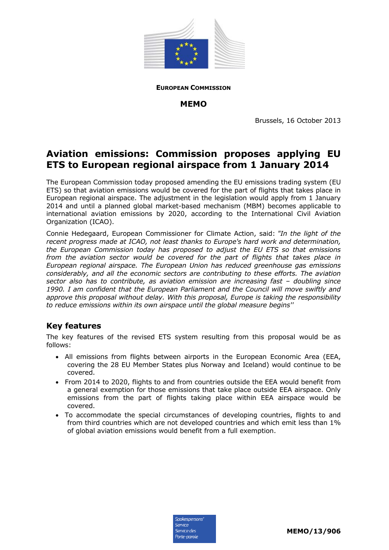

**EUROPEAN COMMISSION**

## **MEMO**

Brussels, 16 October 2013

## **Aviation emissions: Commission proposes applying EU ETS to European regional airspace from 1 January 2014**

The European Commission today proposed amending the EU emissions trading system (EU ETS) so that aviation emissions would be covered for the part of flights that takes place in European regional airspace. The adjustment in the legislation would apply from 1 January 2014 and until a planned global market-based mechanism (MBM) becomes applicable to international aviation emissions by 2020, according to the International Civil Aviation Organization (ICAO).

Connie Hedegaard, European Commissioner for Climate Action, said: *"In the light of the recent progress made at ICAO, not least thanks to Europe's hard work and determination, the European Commission today has proposed to adjust the EU ETS so that emissions from the aviation sector would be covered for the part of flights that takes place in European regional airspace. The European Union has reduced greenhouse gas emissions considerably, and all the economic sectors are contributing to these efforts. The aviation sector also has to contribute, as aviation emission are increasing fast – doubling since 1990. I am confident that the European Parliament and the Council will move swiftly and approve this proposal without delay. With this proposal, Europe is taking the responsibility to reduce emissions within its own airspace until the global measure begins''* 

## **Key features**

The key features of the revised ETS system resulting from this proposal would be as follows:

- All emissions from flights between airports in the European Economic Area (EEA, covering the 28 EU Member States plus Norway and Iceland) would continue to be covered.
- From 2014 to 2020, flights to and from countries outside the EEA would benefit from a general exemption for those emissions that take place outside EEA airspace. Only emissions from the part of flights taking place within EEA airspace would be covered.
- To accommodate the special circumstances of developing countries, flights to and from third countries which are not developed countries and which emit less than 1% of global aviation emissions would benefit from a full exemption.